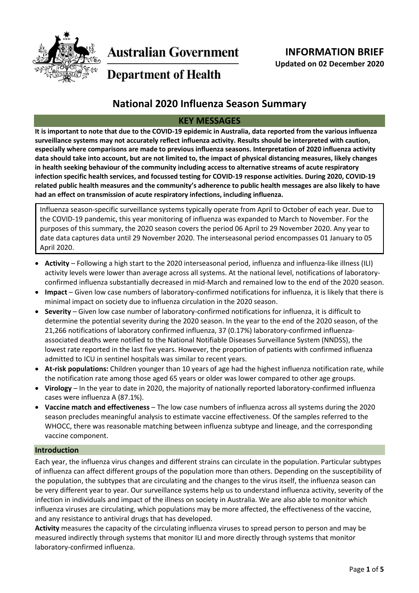

**Australian Government** 

**Department of Health** 

# **National 2020 Influenza Season Summary**

# **KEY MESSAGES**

**It is important to note that due to the COVID-19 epidemic in Australia, data reported from the various influenza surveillance systems may not accurately reflect influenza activity. Results should be interpreted with caution, especially where comparisons are made to previous influenza seasons. Interpretation of 2020 influenza activity data should take into account, but are not limited to, the impact of physical distancing measures, likely changes in health seeking behaviour of the community including access to alternative streams of acute respiratory infection specific health services, and focussed testing for COVID-19 response activities. During 2020, COVID-19 related public health measures and the community's adherence to public health messages are also likely to have had an effect on transmission of acute respiratory infections, including influenza.**

Influenza season-specific surveillance systems typically operate from April to October of each year. Due to the COVID-19 pandemic, this year monitoring of influenza was expanded to March to November. For the purposes of this summary, the 2020 season covers the period 06 April to 29 November 2020. Any year to date data captures data until 29 November 2020. The interseasonal period encompasses 01 January to 05 April 2020.

- **Activity** Following a high start to the 2020 interseasonal period, influenza and influenza-like illness (ILI) activity levels were lower than average across all systems. At the national level, notifications of laboratoryconfirmed influenza substantially decreased in mid-March and remained low to the end of the 2020 season.
- **Impact**  Given low case numbers of laboratory-confirmed notifications for influenza, it is likely that there is minimal impact on society due to influenza circulation in the 2020 season.
- **Severity**  Given low case number of laboratory-confirmed notifications for influenza, it is difficult to determine the potential severity during the 2020 season. In the year to the end of the 2020 season, of the 21,266 notifications of laboratory confirmed influenza, 37 (0.17%) laboratory-confirmed influenzaassociated deaths were notified to the National Notifiable Diseases Surveillance System (NNDSS), the lowest rate reported in the last five years. However, the proportion of patients with confirmed influenza admitted to ICU in sentinel hospitals was similar to recent years.
- **At-risk populations:** Children younger than 10 years of age had the highest influenza notification rate, while the notification rate among those aged 65 years or older was lower compared to other age groups.
- **Virology** In the year to date in 2020, the majority of nationally reported laboratory-confirmed influenza cases were influenza A (87.1%).
- **Vaccine match and effectiveness**  The low case numbers of influenza across all systems during the 2020 season precludes meaningful analysis to estimate vaccine effectiveness. Of the samples referred to the WHOCC, there was reasonable matching between influenza subtype and lineage, and the corresponding vaccine component.

## **Introduction**

Each year, the influenza virus changes and different strains can circulate in the population. Particular subtypes of influenza can affect different groups of the population more than others. Depending on the susceptibility of the population, the subtypes that are circulating and the changes to the virus itself, the influenza season can be very different year to year. Our surveillance systems help us to understand influenza activity, severity of the infection in individuals and impact of the illness on society in Australia. We are also able to monitor which influenza viruses are circulating, which populations may be more affected, the effectiveness of the vaccine, and any resistance to antiviral drugs that has developed.

**Activity** measures the capacity of the circulating influenza viruses to spread person to person and may be measured indirectly through systems that monitor ILI and more directly through systems that monitor laboratory-confirmed influenza.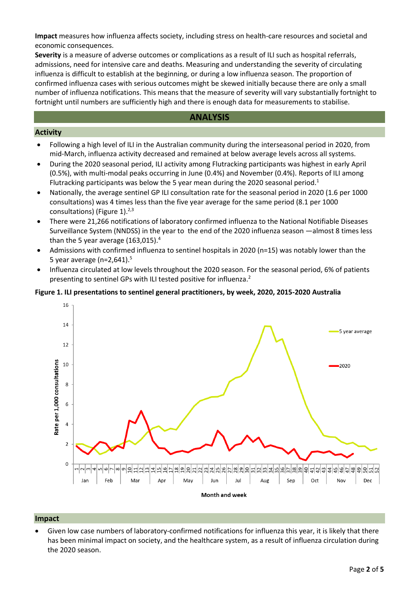**Impact** measures how influenza affects society, including stress on health-care resources and societal and economic consequences.

**Severity** is a measure of adverse outcomes or complications as a result of ILI such as hospital referrals, admissions, need for intensive care and deaths. Measuring and understanding the severity of circulating influenza is difficult to establish at the beginning, or during a low influenza season. The proportion of confirmed influenza cases with serious outcomes might be skewed initially because there are only a small number of influenza notifications. This means that the measure of severity will vary substantially fortnight to fortnight until numbers are sufficiently high and there is enough data for measurements to stabilise.

#### **ANALYSIS**

#### **Activity**

- Following a high level of ILI in the Australian community during the interseasonal period in 2020, from mid-March, influenza activity decreased and remained at below average levels across all systems.
- During the 2020 seasonal period, ILI activity among Flutracking participants was highest in early April (0.5%), with multi-modal peaks occurring in June (0.4%) and November (0.4%). Reports of ILI among Flutracking participants was below the 5 year mean during the 2020 seasonal period.<sup>1</sup>
- Nationally, the average sentinel GP ILI consultation rate for the seasonal period in 2020 (1.6 per 1000 consultations) was 4 times less than the five year average for the same period (8.1 per 1000 consultations) [\(Figure 1\)](#page-1-0).<sup>2,3</sup>
- There were 21,266 notifications of laboratory confirmed influenza to the National Notifiable Diseases Surveillance System (NNDSS) in the year to the end of the 2020 influenza season —almost 8 times less than the 5 year average  $(163,015).<sup>4</sup>$
- Admissions with confirmed influenza to sentinel hospitals in 2020 (n=15) was notably lower than the 5 year average ( $n=2,641$ ).<sup>5</sup>
- Influenza circulated at low levels throughout the 2020 season. For the seasonal period, 6% of patients presenting to sentinel GPs with ILI tested positive for influenza.<sup>2</sup>

#### <span id="page-1-0"></span>**Figure 1. ILI presentations to sentinel general practitioners, by week, 2020, 2015-2020 Australia**



#### **Impact**

 Given low case numbers of laboratory-confirmed notifications for influenza this year, it is likely that there has been minimal impact on society, and the healthcare system, as a result of influenza circulation during the 2020 season.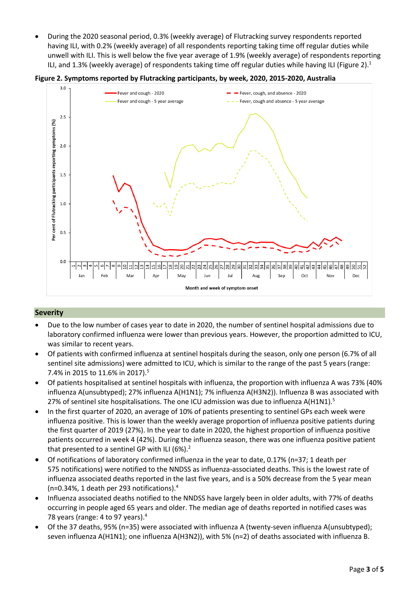During the 2020 seasonal period, 0.3% (weekly average) of Flutracking survey respondents reported having ILI, with 0.2% (weekly average) of all respondents reporting taking time off regular duties while unwell with ILI. This is well below the five year average of 1.9% (weekly average) of respondents reporting ILI, and 1.3% (weekly average) of respondents taking time off regular duties while having ILI (Figure 2).<sup>1</sup>

**Figure 2. Symptoms reported by Flutracking participants, by week, 2020, 2015-2020, Australia**



## **Severity**

- Due to the low number of cases year to date in 2020, the number of sentinel hospital admissions due to laboratory confirmed influenza were lower than previous years. However, the proportion admitted to ICU, was similar to recent years.
- Of patients with confirmed influenza at sentinel hospitals during the season, only one person (6.7% of all sentinel site admissions) were admitted to ICU, which is similar to the range of the past 5 years (range: 7.4% in 2015 to 11.6% in 2017).<sup>5</sup>
- Of patients hospitalised at sentinel hospitals with influenza, the proportion with influenza A was 73% (40% influenza A(unsubtyped); 27% influenza A(H1N1); 7% influenza A(H3N2)). Influenza B was associated with 27% of sentinel site hospitalisations. The one ICU admission was due to influenza  $A(H1N1)$ .<sup>5</sup>
- In the first quarter of 2020, an average of 10% of patients presenting to sentinel GPs each week were influenza positive. This is lower than the weekly average proportion of influenza positive patients during the first quarter of 2019 (27%). In the year to date in 2020, the highest proportion of influenza positive patients occurred in week 4 (42%). During the influenza season, there was one influenza positive patient that presented to a sentinel GP with ILI (6%).<sup>2</sup>
- Of notifications of laboratory confirmed influenza in the year to date, 0.17% (n=37; 1 death per 575 notifications) were notified to the NNDSS as influenza-associated deaths. This is the lowest rate of influenza associated deaths reported in the last five years, and is a 50% decrease from the 5 year mean (n=0.34%, 1 death per 293 notifications). 4
- Influenza associated deaths notified to the NNDSS have largely been in older adults, with 77% of deaths occurring in people aged 65 years and older. The median age of deaths reported in notified cases was 78 years (range: 4 to 97 years).<sup>4</sup>
- Of the 37 deaths, 95% (n=35) were associated with influenza A (twenty-seven influenza A(unsubtyped); seven influenza A(H1N1); one influenza A(H3N2)), with 5% (n=2) of deaths associated with influenza B.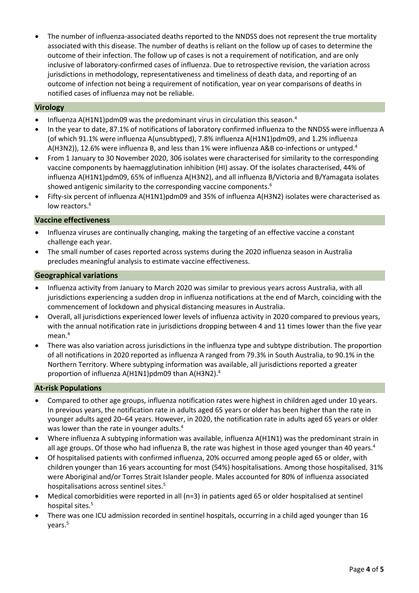The number of influenza-associated deaths reported to the NNDSS does not represent the true mortality associated with this disease. The number of deaths is reliant on the follow up of cases to determine the outcome of their infection. The follow up of cases is not a requirement of notification, and are only inclusive of laboratory-confirmed cases of influenza. Due to retrospective revision, the variation across jurisdictions in methodology, representativeness and timeliness of death data, and reporting of an outcome of infection not being a requirement of notification, year on year comparisons of deaths in notified cases of influenza may not be reliable.

#### **Virology**

- Influenza A(H1N1)pdm09 was the predominant virus in circulation this season.<sup>4</sup>
- In the year to date, 87.1% of notifications of laboratory confirmed influenza to the NNDSS were influenza A (of which 91.1% were influenza A(unsubtyped), 7.8% influenza A(H1N1)pdm09, and 1.2% influenza A(H3N2)), 12.6% were influenza B, and less than 1% were influenza A&B co-infections or untyped.<sup>4</sup>
- From 1 January to 30 November 2020, 306 isolates were characterised for similarity to the corresponding vaccine components by haemagglutination inhibition (HI) assay. Of the isolates characterised, 44% of influenza A(H1N1)pdm09, 65% of influenza A(H3N2), and all influenza B/Victoria and B/Yamagata isolates showed antigenic similarity to the corresponding vaccine components.<sup>6</sup>
- Fifty-six percent of influenza A(H1N1)pdm09 and 35% of influenza A(H3N2) isolates were characterised as low reactors.<sup>6</sup>

#### **Vaccine effectiveness**

- Influenza viruses are continually changing, making the targeting of an effective vaccine a constant challenge each year.
- The small number of cases reported across systems during the 2020 influenza season in Australia precludes meaningful analysis to estimate vaccine effectiveness.

#### **Geographical variations**

- Influenza activity from January to March 2020 was similar to previous years across Australia, with all jurisdictions experiencing a sudden drop in influenza notifications at the end of March, coinciding with the commencement of lockdown and physical distancing measures in Australia.
- Overall, all jurisdictions experienced lower levels of influenza activity in 2020 compared to previous years, with the annual notification rate in jurisdictions dropping between 4 and 11 times lower than the five year mean.<sup>4</sup>
- There was also variation across jurisdictions in the influenza type and subtype distribution. The proportion of all notifications in 2020 reported as influenza A ranged from 79.3% in South Australia, to 90.1% in the Northern Territory. Where subtyping information was available, all jurisdictions reported a greater proportion of influenza A(H1N1)pdm09 than A(H3N2). 4

## **At-risk Populations**

- Compared to other age groups, influenza notification rates were highest in children aged under 10 years. In previous years, the notification rate in adults aged 65 years or older has been higher than the rate in younger adults aged 20–64 years. However, in 2020, the notification rate in adults aged 65 years or older was lower than the rate in younger adults.<sup>4</sup>
- Where influenza A subtyping information was available, influenza A(H1N1) was the predominant strain in all age groups. Of those who had influenza B, the rate was highest in those aged younger than 40 years.<sup>4</sup>
- Of hospitalised patients with confirmed influenza, 20% occurred among people aged 65 or older, with children younger than 16 years accounting for most (54%) hospitalisations. Among those hospitalised, 31% were Aboriginal and/or Torres Strait Islander people. Males accounted for 80% of influenza associated hospitalisations across sentinel sites.<sup>5</sup>
- Medical comorbidities were reported in all (n=3) in patients aged 65 or older hospitalised at sentinel hospital sites. 5
- There was one ICU admission recorded in sentinel hospitals, occurring in a child aged younger than 16 years. 5